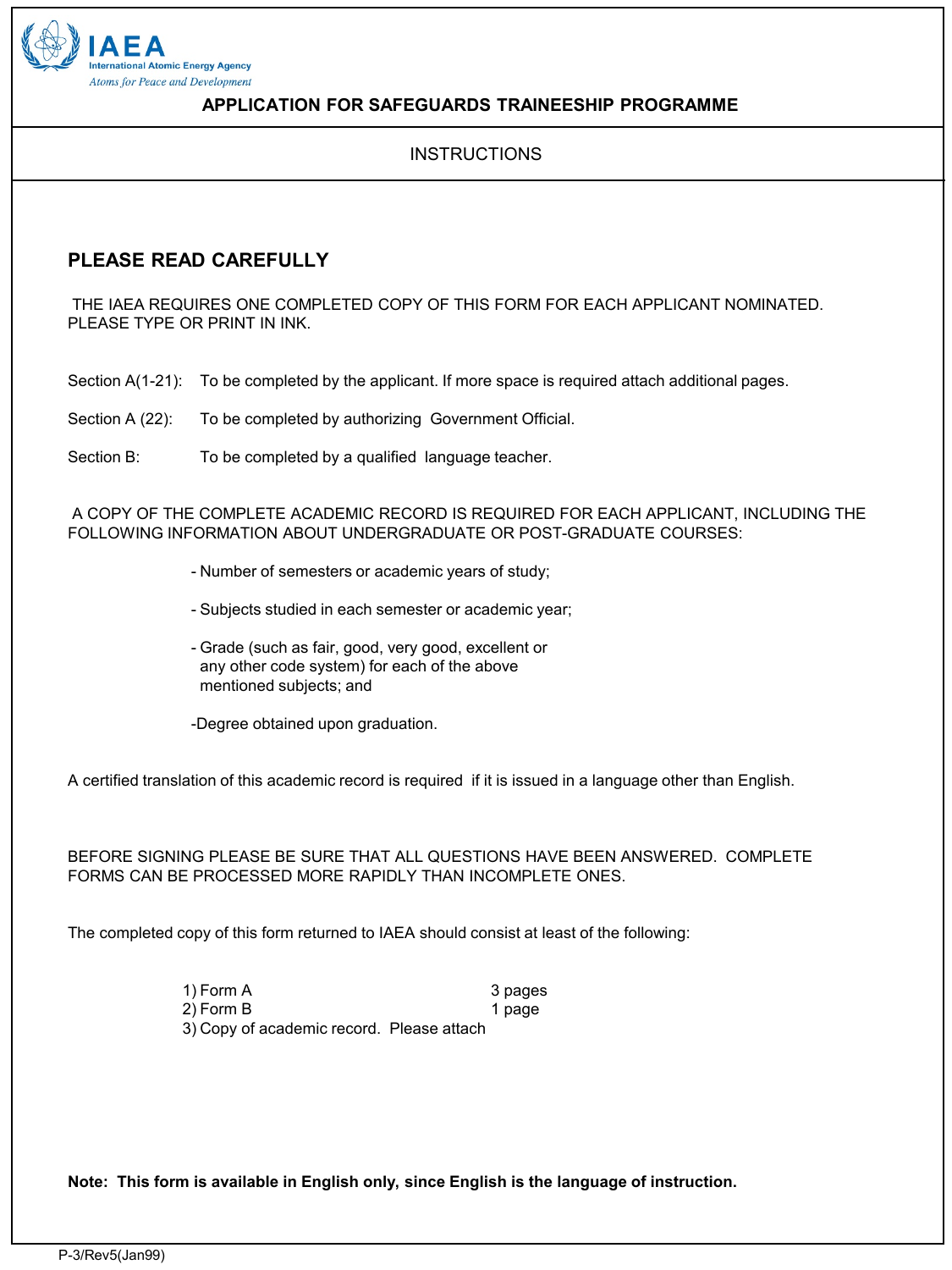

#### **APPLICATION FOR SAFEGUARDS TRAINEESHIP PROGRAMME**

#### **INSTRUCTIONS**

## **PLEASE READ CAREFULLY**

THE IAEA REQUIRES ONE COMPLETED COPY OF THIS FORM FOR EACH APPLICANT NOMINATED. PLEASE TYPE OR PRINT IN INK.

Section A(1-21): To be completed by the applicant. If more space is required attach additional pages.

Section A (22): To be completed by authorizing Government Official.

Section B: To be completed by a qualified language teacher.

A COPY OF THE COMPLETE ACADEMIC RECORD IS REQUIRED FOR EACH APPLICANT, INCLUDING THE FOLLOWING INFORMATION ABOUT UNDERGRADUATE OR POST-GRADUATE COURSES:

- Number of semesters or academic years of study;

- Subjects studied in each semester or academic year;
- Grade (such as fair, good, very good, excellent or any other code system) for each of the above mentioned subjects; and

-Degree obtained upon graduation.

A certified translation of this academic record is required if it is issued in a language other than English.

BEFORE SIGNING PLEASE BE SURE THAT ALL QUESTIONS HAVE BEEN ANSWERED. COMPLETE FORMS CAN BE PROCESSED MORE RAPIDLY THAN INCOMPLETE ONES.

The completed copy of this form returned to IAEA should consist at least of the following:

| 1) Form A                                 | 3 pages |
|-------------------------------------------|---------|
| 2) Form B                                 | 1 page  |
| 3) Copy of academic record. Please attach |         |

**Note: This form is available in English only, since English is the language of instruction.**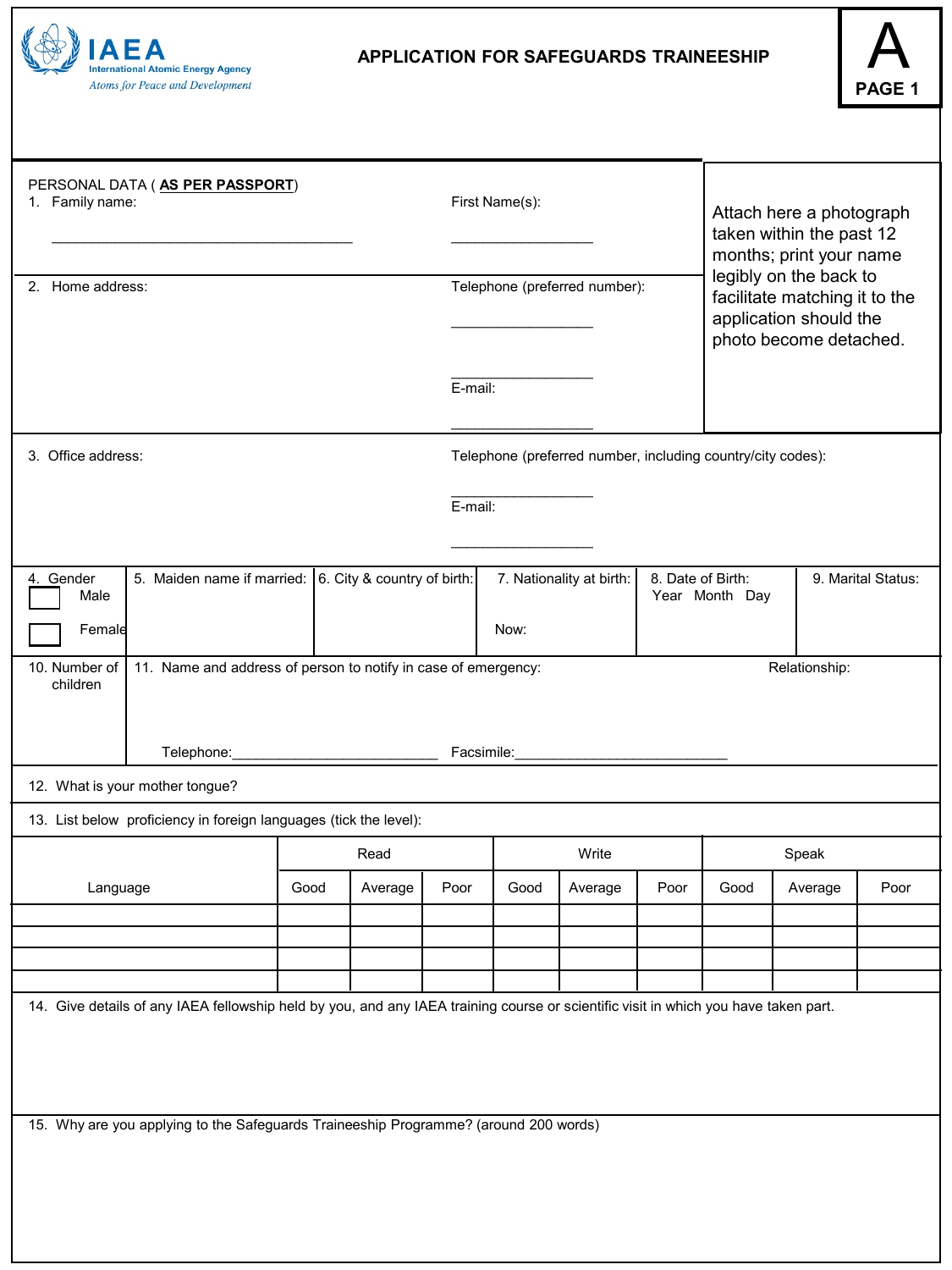

### **APPLICATION FOR SAFEGUARDS TRAINEESHIP**



| PERSONAL DATA (AS PER PASSPORT)<br>1. Family name:                                                                                       |      |         |                               | First Name(s): |                          |                                                                                                             | Attach here a photograph<br>taken within the past 12<br>months; print your name |         |      |
|------------------------------------------------------------------------------------------------------------------------------------------|------|---------|-------------------------------|----------------|--------------------------|-------------------------------------------------------------------------------------------------------------|---------------------------------------------------------------------------------|---------|------|
| 2. Home address:                                                                                                                         |      |         | Telephone (preferred number): |                |                          | legibly on the back to<br>facilitate matching it to the<br>application should the<br>photo become detached. |                                                                                 |         |      |
|                                                                                                                                          |      |         | E-mail:                       |                |                          |                                                                                                             |                                                                                 |         |      |
| 3. Office address:                                                                                                                       |      |         |                               |                |                          |                                                                                                             | Telephone (preferred number, including country/city codes):                     |         |      |
| E-mail:                                                                                                                                  |      |         |                               |                |                          |                                                                                                             |                                                                                 |         |      |
| 5. Maiden name if married: 6. City & country of birth:<br>4. Gender<br>Male                                                              |      |         |                               |                | 7. Nationality at birth: |                                                                                                             | 8. Date of Birth:<br>9. Marital Status:<br>Year Month Day                       |         |      |
| Female                                                                                                                                   |      |         |                               | Now:           |                          |                                                                                                             |                                                                                 |         |      |
| 10. Number of<br>11. Name and address of person to notify in case of emergency:<br>Relationship:<br>children<br>Telephone:<br>Facsimile: |      |         |                               |                |                          |                                                                                                             |                                                                                 |         |      |
| 12. What is your mother tongue?                                                                                                          |      |         |                               |                |                          |                                                                                                             |                                                                                 |         |      |
| 13. List below proficiency in foreign languages (tick the level):                                                                        |      |         |                               |                |                          |                                                                                                             |                                                                                 |         |      |
|                                                                                                                                          |      | Read    |                               |                | Write                    | Speak                                                                                                       |                                                                                 |         |      |
| Language                                                                                                                                 | Good | Average | Poor                          | Good           | Average                  | Poor                                                                                                        | Good                                                                            | Average | Poor |
|                                                                                                                                          |      |         |                               |                |                          |                                                                                                             |                                                                                 |         |      |
|                                                                                                                                          |      |         |                               |                |                          |                                                                                                             |                                                                                 |         |      |
| 14. Give details of any IAEA fellowship held by you, and any IAEA training course or scientific visit in which you have taken part.      |      |         |                               |                |                          |                                                                                                             |                                                                                 |         |      |
|                                                                                                                                          |      |         |                               |                |                          |                                                                                                             |                                                                                 |         |      |
| 15. Why are you applying to the Safeguards Traineeship Programme? (around 200 words)                                                     |      |         |                               |                |                          |                                                                                                             |                                                                                 |         |      |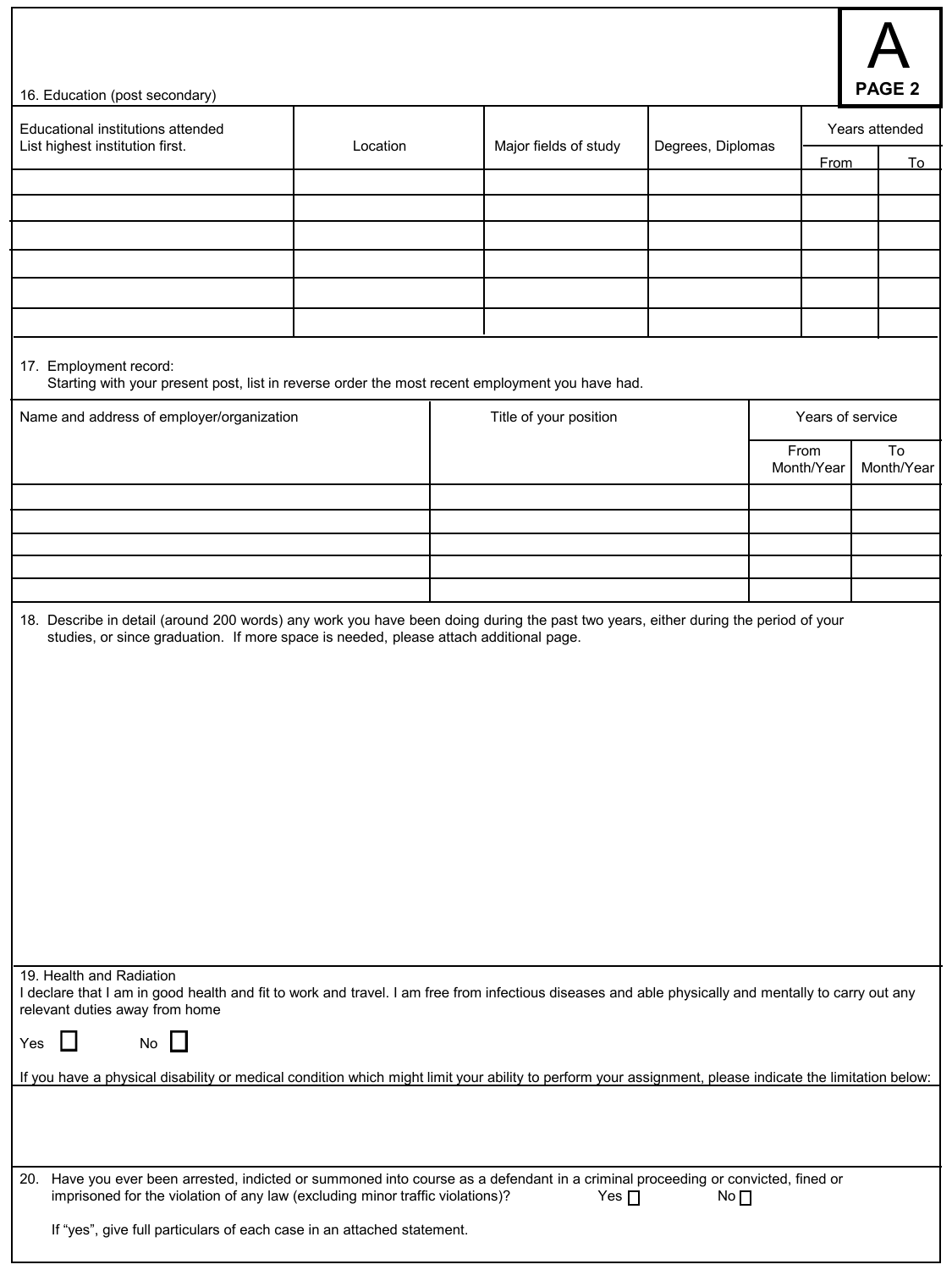

| 16. Education (post secondary) | <b>I</b> PAGE 2 |
|--------------------------------|-----------------|
|--------------------------------|-----------------|

| Educational institutions attended<br>Location<br>List highest institution first.                                                                                                                                  |                                           |  | Major fields of study  | Degrees, Diplomas |  |                  | Years attended |  |
|-------------------------------------------------------------------------------------------------------------------------------------------------------------------------------------------------------------------|-------------------------------------------|--|------------------------|-------------------|--|------------------|----------------|--|
|                                                                                                                                                                                                                   |                                           |  |                        |                   |  | <b>From</b>      | <u>To</u>      |  |
|                                                                                                                                                                                                                   |                                           |  |                        |                   |  |                  |                |  |
|                                                                                                                                                                                                                   |                                           |  |                        |                   |  |                  |                |  |
|                                                                                                                                                                                                                   |                                           |  |                        |                   |  |                  |                |  |
|                                                                                                                                                                                                                   |                                           |  |                        |                   |  |                  |                |  |
|                                                                                                                                                                                                                   |                                           |  |                        |                   |  |                  |                |  |
|                                                                                                                                                                                                                   |                                           |  |                        |                   |  |                  |                |  |
|                                                                                                                                                                                                                   |                                           |  |                        |                   |  |                  |                |  |
| 17. Employment record:<br>Starting with your present post, list in reverse order the most recent employment you have had.                                                                                         |                                           |  |                        |                   |  |                  |                |  |
|                                                                                                                                                                                                                   | Name and address of employer/organization |  | Title of your position |                   |  | Years of service |                |  |
|                                                                                                                                                                                                                   |                                           |  |                        |                   |  | From             | To             |  |
|                                                                                                                                                                                                                   |                                           |  |                        |                   |  | Month/Year       | Month/Year     |  |
|                                                                                                                                                                                                                   |                                           |  |                        |                   |  |                  |                |  |
|                                                                                                                                                                                                                   |                                           |  |                        |                   |  |                  |                |  |
|                                                                                                                                                                                                                   |                                           |  |                        |                   |  |                  |                |  |
|                                                                                                                                                                                                                   |                                           |  |                        |                   |  |                  |                |  |
|                                                                                                                                                                                                                   |                                           |  |                        |                   |  |                  |                |  |
| 19. Health and Radiation                                                                                                                                                                                          |                                           |  |                        |                   |  |                  |                |  |
| I declare that I am in good health and fit to work and travel. I am free from infectious diseases and able physically and mentally to carry out any<br>relevant duties away from home                             |                                           |  |                        |                   |  |                  |                |  |
| No<br>$\mathbf{I}$<br>Yes                                                                                                                                                                                         |                                           |  |                        |                   |  |                  |                |  |
| If you have a physical disability or medical condition which might limit your ability to perform your assignment, please indicate the limitation below:                                                           |                                           |  |                        |                   |  |                  |                |  |
| 20. Have you ever been arrested, indicted or summoned into course as a defendant in a criminal proceeding or convicted, fined or<br>imprisoned for the violation of any law (excluding minor traffic violations)? |                                           |  | Yes $\Box$             | No ∏              |  |                  |                |  |
| If "yes", give full particulars of each case in an attached statement.                                                                                                                                            |                                           |  |                        |                   |  |                  |                |  |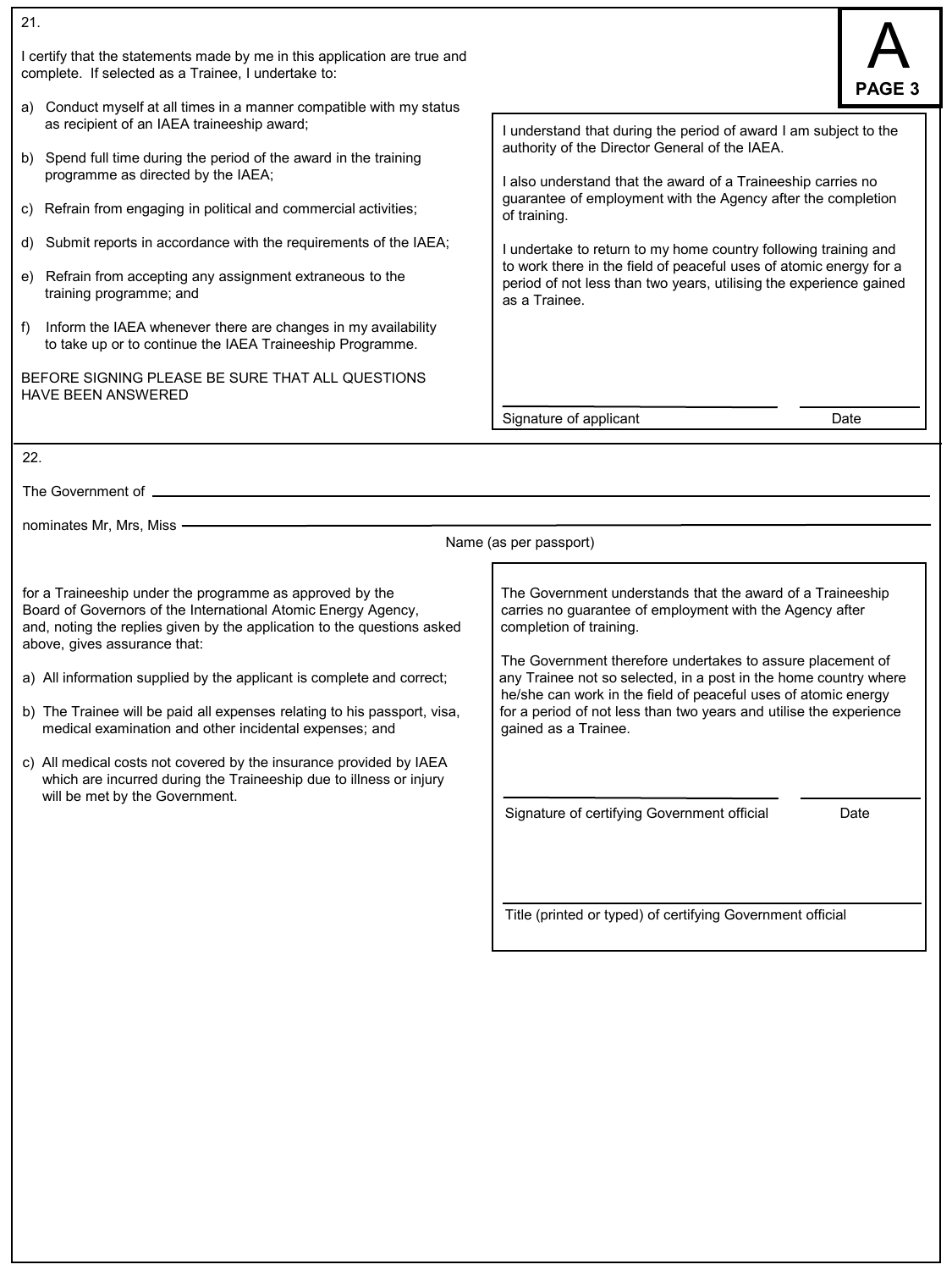| 21.                                                                                                                                                                                                                                                                                                                                                                                                                                                                                                                                                                                                                                                                                                |                                                                                                                                                                                                                                                                                                                                                                                                                                                                                                                              |      |
|----------------------------------------------------------------------------------------------------------------------------------------------------------------------------------------------------------------------------------------------------------------------------------------------------------------------------------------------------------------------------------------------------------------------------------------------------------------------------------------------------------------------------------------------------------------------------------------------------------------------------------------------------------------------------------------------------|------------------------------------------------------------------------------------------------------------------------------------------------------------------------------------------------------------------------------------------------------------------------------------------------------------------------------------------------------------------------------------------------------------------------------------------------------------------------------------------------------------------------------|------|
| I certify that the statements made by me in this application are true and<br>complete. If selected as a Trainee, I undertake to:                                                                                                                                                                                                                                                                                                                                                                                                                                                                                                                                                                   |                                                                                                                                                                                                                                                                                                                                                                                                                                                                                                                              |      |
| a) Conduct myself at all times in a manner compatible with my status<br>as recipient of an IAEA traineeship award;<br>b) Spend full time during the period of the award in the training<br>programme as directed by the IAEA;<br>c) Refrain from engaging in political and commercial activities;<br>Submit reports in accordance with the requirements of the IAEA;<br>d)<br>Refrain from accepting any assignment extraneous to the<br>e)<br>training programme; and<br>Inform the IAEA whenever there are changes in my availability<br>f)<br>to take up or to continue the IAEA Traineeship Programme.<br>BEFORE SIGNING PLEASE BE SURE THAT ALL QUESTIONS<br><b>HAVE BEEN ANSWERED</b><br>22. | I understand that during the period of award I am subject to the<br>authority of the Director General of the IAEA.<br>I also understand that the award of a Traineeship carries no<br>guarantee of employment with the Agency after the completion<br>of training.<br>I undertake to return to my home country following training and<br>to work there in the field of peaceful uses of atomic energy for a<br>period of not less than two years, utilising the experience gained<br>as a Trainee.<br>Signature of applicant | Date |
|                                                                                                                                                                                                                                                                                                                                                                                                                                                                                                                                                                                                                                                                                                    |                                                                                                                                                                                                                                                                                                                                                                                                                                                                                                                              |      |
| nominates Mr, Mrs, Miss -                                                                                                                                                                                                                                                                                                                                                                                                                                                                                                                                                                                                                                                                          |                                                                                                                                                                                                                                                                                                                                                                                                                                                                                                                              |      |
|                                                                                                                                                                                                                                                                                                                                                                                                                                                                                                                                                                                                                                                                                                    | Name (as per passport)                                                                                                                                                                                                                                                                                                                                                                                                                                                                                                       |      |
| for a Traineeship under the programme as approved by the<br>Board of Governors of the International Atomic Energy Agency,<br>and, noting the replies given by the application to the questions asked<br>above, gives assurance that:<br>a) All information supplied by the applicant is complete and correct;<br>b) The Trainee will be paid all expenses relating to his passport, visa,<br>medical examination and other incidental expenses; and<br>c) All medical costs not covered by the insurance provided by IAEA<br>which are incurred during the Traineeship due to illness or injury<br>will be met by the Government.                                                                  | The Government understands that the award of a Traineeship<br>carries no guarantee of employment with the Agency after<br>completion of training.<br>The Government therefore undertakes to assure placement of<br>any Trainee not so selected, in a post in the home country where<br>he/she can work in the field of peaceful uses of atomic energy<br>for a period of not less than two years and utilise the experience<br>gained as a Trainee.<br>Signature of certifying Government official                           | Date |
|                                                                                                                                                                                                                                                                                                                                                                                                                                                                                                                                                                                                                                                                                                    | Title (printed or typed) of certifying Government official                                                                                                                                                                                                                                                                                                                                                                                                                                                                   |      |
|                                                                                                                                                                                                                                                                                                                                                                                                                                                                                                                                                                                                                                                                                                    |                                                                                                                                                                                                                                                                                                                                                                                                                                                                                                                              |      |